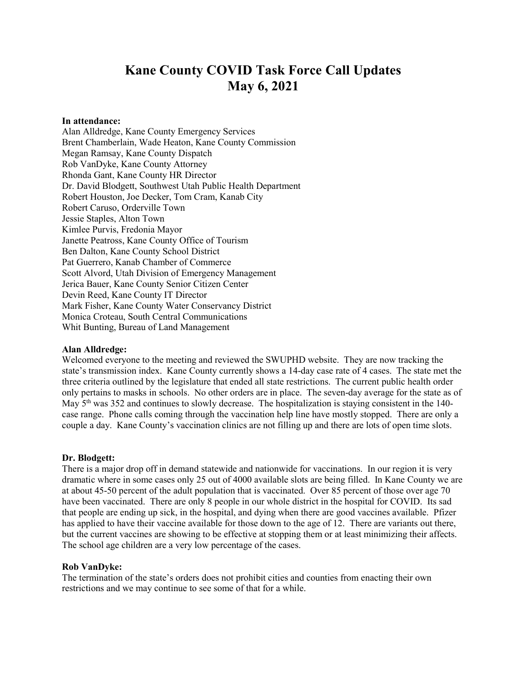# Kane County COVID Task Force Call Updates May 6, 2021

#### In attendance:

Alan Alldredge, Kane County Emergency Services Brent Chamberlain, Wade Heaton, Kane County Commission Megan Ramsay, Kane County Dispatch Rob VanDyke, Kane County Attorney Rhonda Gant, Kane County HR Director Dr. David Blodgett, Southwest Utah Public Health Department Robert Houston, Joe Decker, Tom Cram, Kanab City Robert Caruso, Orderville Town Jessie Staples, Alton Town Kimlee Purvis, Fredonia Mayor Janette Peatross, Kane County Office of Tourism Ben Dalton, Kane County School District Pat Guerrero, Kanab Chamber of Commerce Scott Alvord, Utah Division of Emergency Management Jerica Bauer, Kane County Senior Citizen Center Devin Reed, Kane County IT Director Mark Fisher, Kane County Water Conservancy District Monica Croteau, South Central Communications Whit Bunting, Bureau of Land Management

#### Alan Alldredge:

Welcomed everyone to the meeting and reviewed the SWUPHD website. They are now tracking the state's transmission index. Kane County currently shows a 14-day case rate of 4 cases. The state met the three criteria outlined by the legislature that ended all state restrictions. The current public health order only pertains to masks in schools. No other orders are in place. The seven-day average for the state as of May  $5<sup>th</sup>$  was 352 and continues to slowly decrease. The hospitalization is staying consistent in the 140case range. Phone calls coming through the vaccination help line have mostly stopped. There are only a couple a day. Kane County's vaccination clinics are not filling up and there are lots of open time slots.

#### Dr. Blodgett:

There is a major drop off in demand statewide and nationwide for vaccinations. In our region it is very dramatic where in some cases only 25 out of 4000 available slots are being filled. In Kane County we are at about 45-50 percent of the adult population that is vaccinated. Over 85 percent of those over age 70 have been vaccinated. There are only 8 people in our whole district in the hospital for COVID. Its sad that people are ending up sick, in the hospital, and dying when there are good vaccines available. Pfizer has applied to have their vaccine available for those down to the age of 12. There are variants out there, but the current vaccines are showing to be effective at stopping them or at least minimizing their affects. The school age children are a very low percentage of the cases.

# Rob VanDyke:

The termination of the state's orders does not prohibit cities and counties from enacting their own restrictions and we may continue to see some of that for a while.